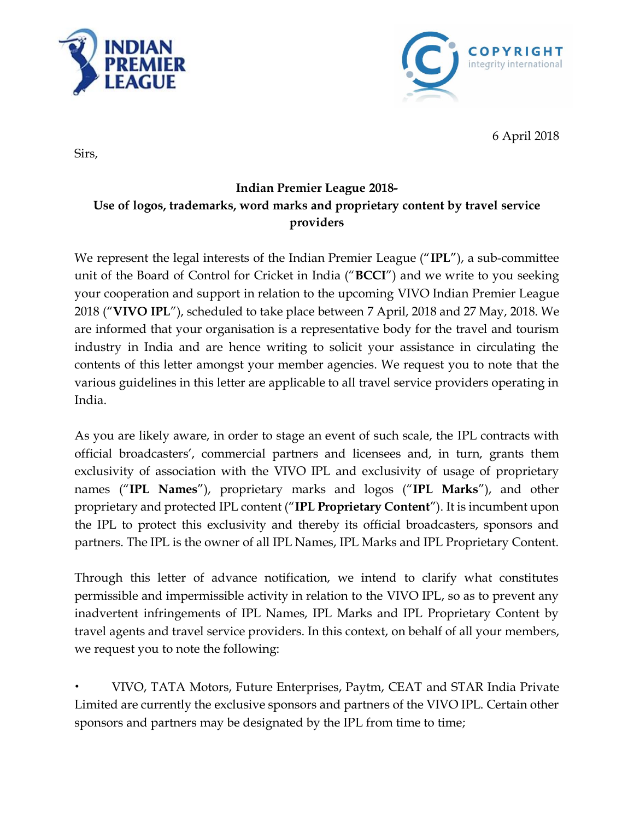



6 April 2018

Sirs,

## **Indian Premier League 2018- Use of logos, trademarks, word marks and proprietary content by travel service providers**

We represent the legal interests of the Indian Premier League ("**IPL**"), a sub-committee unit of the Board of Control for Cricket in India ("**BCCI**") and we write to you seeking your cooperation and support in relation to the upcoming VIVO Indian Premier League 2018 ("**VIVO IPL**"), scheduled to take place between 7 April, 2018 and 27 May, 2018. We are informed that your organisation is a representative body for the travel and tourism industry in India and are hence writing to solicit your assistance in circulating the contents of this letter amongst your member agencies. We request you to note that the various guidelines in this letter are applicable to all travel service providers operating in India.

As you are likely aware, in order to stage an event of such scale, the IPL contracts with official broadcasters', commercial partners and licensees and, in turn, grants them exclusivity of association with the VIVO IPL and exclusivity of usage of proprietary names ("**IPL Names**"), proprietary marks and logos ("**IPL Marks**"), and other proprietary and protected IPL content ("**IPL Proprietary Content**"). It is incumbent upon the IPL to protect this exclusivity and thereby its official broadcasters, sponsors and partners. The IPL is the owner of all IPL Names, IPL Marks and IPL Proprietary Content.

Through this letter of advance notification, we intend to clarify what constitutes permissible and impermissible activity in relation to the VIVO IPL, so as to prevent any inadvertent infringements of IPL Names, IPL Marks and IPL Proprietary Content by travel agents and travel service providers. In this context, on behalf of all your members, we request you to note the following:

• VIVO, TATA Motors, Future Enterprises, Paytm, CEAT and STAR India Private Limited are currently the exclusive sponsors and partners of the VIVO IPL. Certain other sponsors and partners may be designated by the IPL from time to time;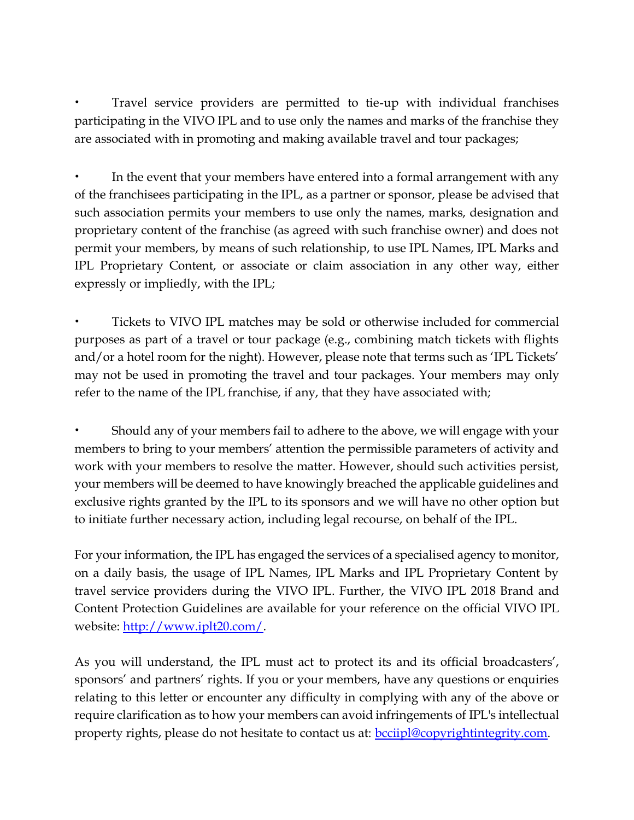• Travel service providers are permitted to tie-up with individual franchises participating in the VIVO IPL and to use only the names and marks of the franchise they are associated with in promoting and making available travel and tour packages;

In the event that your members have entered into a formal arrangement with any of the franchisees participating in the IPL, as a partner or sponsor, please be advised that such association permits your members to use only the names, marks, designation and proprietary content of the franchise (as agreed with such franchise owner) and does not permit your members, by means of such relationship, to use IPL Names, IPL Marks and IPL Proprietary Content, or associate or claim association in any other way, either expressly or impliedly, with the IPL;

• Tickets to VIVO IPL matches may be sold or otherwise included for commercial purposes as part of a travel or tour package (e.g., combining match tickets with flights and/or a hotel room for the night). However, please note that terms such as 'IPL Tickets' may not be used in promoting the travel and tour packages. Your members may only refer to the name of the IPL franchise, if any, that they have associated with;

• Should any of your members fail to adhere to the above, we will engage with your members to bring to your members' attention the permissible parameters of activity and work with your members to resolve the matter. However, should such activities persist, your members will be deemed to have knowingly breached the applicable guidelines and exclusive rights granted by the IPL to its sponsors and we will have no other option but to initiate further necessary action, including legal recourse, on behalf of the IPL.

For your information, the IPL has engaged the services of a specialised agency to monitor, on a daily basis, the usage of IPL Names, IPL Marks and IPL Proprietary Content by travel service providers during the VIVO IPL. Further, the VIVO IPL 2018 Brand and Content Protection Guidelines are available for your reference on the official VIVO IPL website: [http://www.iplt20.com/.](http://www.iplt20.com/about/2016/brand-and-content-protection-guidelines)

As you will understand, the IPL must act to protect its and its official broadcasters', sponsors' and partners' rights. If you or your members, have any questions or enquiries relating to this letter or encounter any difficulty in complying with any of the above or require clarification as to how your members can avoid infringements of IPL's intellectual property rights, please do not hesitate to contact us at: **bcciipl@copyrightintegrity.com.**